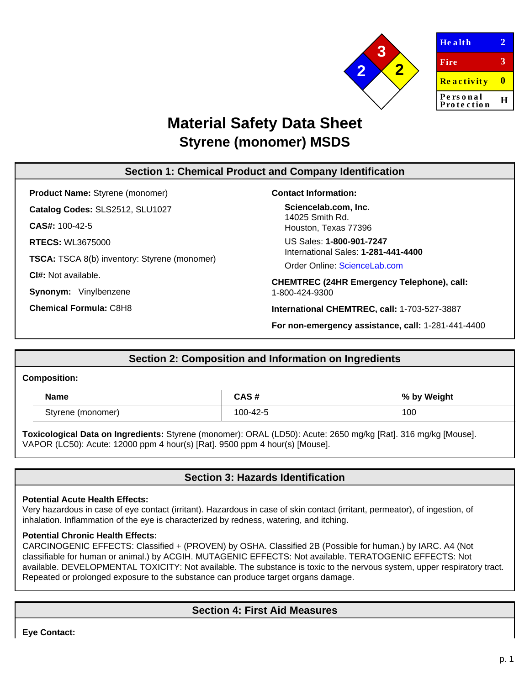

**2**

**3**

**0**

**H**

# **Material Safety Data Sheet Styrene (monomer) MSDS**

# **Section 1: Chemical Product and Company Identification**

**Product Name:** Styrene (monomer) **Catalog Codes:** SLS2512, SLU1027 **CAS#:** 100-42-5 **RTECS:** WL3675000 **TSCA:** TSCA 8(b) inventory: Styrene (monomer) **CI#:** Not available. **Synonym:** Vinylbenzene **Chemical Formula:** C8H8

#### **Contact Information:**

**Sciencelab.com, Inc.** 14025 Smith Rd. Houston, Texas 77396

US Sales: **1-800-901-7247** International Sales: **1-281-441-4400**

Order Online: [ScienceLab.com](http://www.sciencelab.com/)

**CHEMTREC (24HR Emergency Telephone), call:** 1-800-424-9300

**International CHEMTREC, call:** 1-703-527-3887

**For non-emergency assistance, call:** 1-281-441-4400

# **Section 2: Composition and Information on Ingredients**

#### **Composition:**

| <b>Name</b>       | CAS#     | % by Weight |
|-------------------|----------|-------------|
| Styrene (monomer) | 100-42-5 | 100         |

**Toxicological Data on Ingredients:** Styrene (monomer): ORAL (LD50): Acute: 2650 mg/kg [Rat]. 316 mg/kg [Mouse]. VAPOR (LC50): Acute: 12000 ppm 4 hour(s) [Rat]. 9500 ppm 4 hour(s) [Mouse].

# **Section 3: Hazards Identification**

#### **Potential Acute Health Effects:**

Very hazardous in case of eye contact (irritant). Hazardous in case of skin contact (irritant, permeator), of ingestion, of inhalation. Inflammation of the eye is characterized by redness, watering, and itching.

#### **Potential Chronic Health Effects:**

CARCINOGENIC EFFECTS: Classified + (PROVEN) by OSHA. Classified 2B (Possible for human.) by IARC. A4 (Not classifiable for human or animal.) by ACGIH. MUTAGENIC EFFECTS: Not available. TERATOGENIC EFFECTS: Not available. DEVELOPMENTAL TOXICITY: Not available. The substance is toxic to the nervous system, upper respiratory tract. Repeated or prolonged exposure to the substance can produce target organs damage.

# **Section 4: First Aid Measures**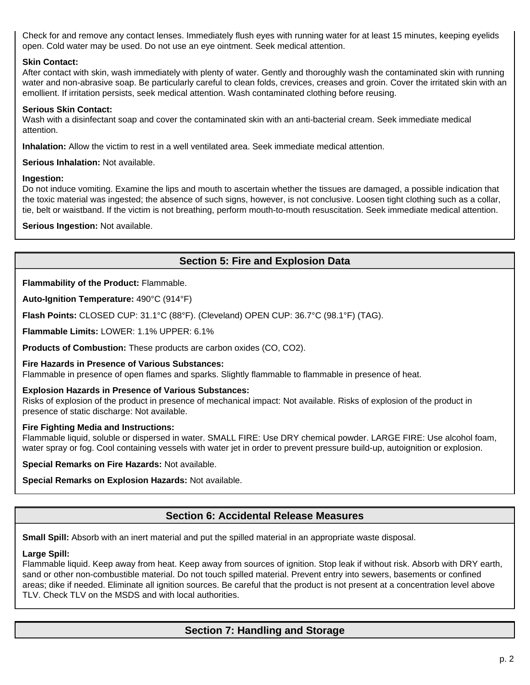Check for and remove any contact lenses. Immediately flush eyes with running water for at least 15 minutes, keeping eyelids open. Cold water may be used. Do not use an eye ointment. Seek medical attention.

### **Skin Contact:**

After contact with skin, wash immediately with plenty of water. Gently and thoroughly wash the contaminated skin with running water and non-abrasive soap. Be particularly careful to clean folds, crevices, creases and groin. Cover the irritated skin with an emollient. If irritation persists, seek medical attention. Wash contaminated clothing before reusing.

### **Serious Skin Contact:**

Wash with a disinfectant soap and cover the contaminated skin with an anti-bacterial cream. Seek immediate medical attention.

**Inhalation:** Allow the victim to rest in a well ventilated area. Seek immediate medical attention.

**Serious Inhalation:** Not available.

#### **Ingestion:**

Do not induce vomiting. Examine the lips and mouth to ascertain whether the tissues are damaged, a possible indication that the toxic material was ingested; the absence of such signs, however, is not conclusive. Loosen tight clothing such as a collar, tie, belt or waistband. If the victim is not breathing, perform mouth-to-mouth resuscitation. Seek immediate medical attention.

**Serious Ingestion:** Not available.

# **Section 5: Fire and Explosion Data**

**Flammability of the Product:** Flammable.

**Auto-Ignition Temperature:** 490°C (914°F)

**Flash Points:** CLOSED CUP: 31.1°C (88°F). (Cleveland) OPEN CUP: 36.7°C (98.1°F) (TAG).

**Flammable Limits:** LOWER: 1.1% UPPER: 6.1%

**Products of Combustion:** These products are carbon oxides (CO, CO2).

**Fire Hazards in Presence of Various Substances:**

Flammable in presence of open flames and sparks. Slightly flammable to flammable in presence of heat.

#### **Explosion Hazards in Presence of Various Substances:**

Risks of explosion of the product in presence of mechanical impact: Not available. Risks of explosion of the product in presence of static discharge: Not available.

#### **Fire Fighting Media and Instructions:**

Flammable liquid, soluble or dispersed in water. SMALL FIRE: Use DRY chemical powder. LARGE FIRE: Use alcohol foam, water spray or fog. Cool containing vessels with water jet in order to prevent pressure build-up, autoignition or explosion.

**Special Remarks on Fire Hazards:** Not available.

**Special Remarks on Explosion Hazards:** Not available.

# **Section 6: Accidental Release Measures**

**Small Spill:** Absorb with an inert material and put the spilled material in an appropriate waste disposal.

# **Large Spill:**

Flammable liquid. Keep away from heat. Keep away from sources of ignition. Stop leak if without risk. Absorb with DRY earth, sand or other non-combustible material. Do not touch spilled material. Prevent entry into sewers, basements or confined areas; dike if needed. Eliminate all ignition sources. Be careful that the product is not present at a concentration level above TLV. Check TLV on the MSDS and with local authorities.

# **Section 7: Handling and Storage**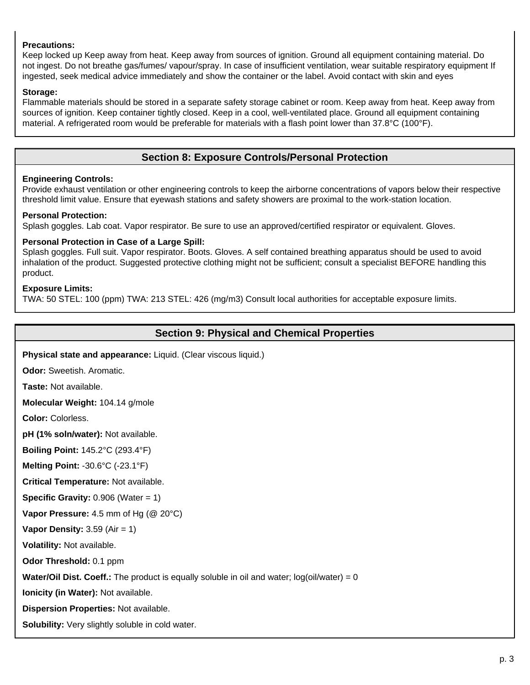#### **Precautions:**

Keep locked up Keep away from heat. Keep away from sources of ignition. Ground all equipment containing material. Do not ingest. Do not breathe gas/fumes/ vapour/spray. In case of insufficient ventilation, wear suitable respiratory equipment If ingested, seek medical advice immediately and show the container or the label. Avoid contact with skin and eyes

#### **Storage:**

Flammable materials should be stored in a separate safety storage cabinet or room. Keep away from heat. Keep away from sources of ignition. Keep container tightly closed. Keep in a cool, well-ventilated place. Ground all equipment containing material. A refrigerated room would be preferable for materials with a flash point lower than 37.8°C (100°F).

### **Section 8: Exposure Controls/Personal Protection**

#### **Engineering Controls:**

Provide exhaust ventilation or other engineering controls to keep the airborne concentrations of vapors below their respective threshold limit value. Ensure that eyewash stations and safety showers are proximal to the work-station location.

#### **Personal Protection:**

Splash goggles. Lab coat. Vapor respirator. Be sure to use an approved/certified respirator or equivalent. Gloves.

#### **Personal Protection in Case of a Large Spill:**

Splash goggles. Full suit. Vapor respirator. Boots. Gloves. A self contained breathing apparatus should be used to avoid inhalation of the product. Suggested protective clothing might not be sufficient; consult a specialist BEFORE handling this product.

#### **Exposure Limits:**

TWA: 50 STEL: 100 (ppm) TWA: 213 STEL: 426 (mg/m3) Consult local authorities for acceptable exposure limits.

### **Section 9: Physical and Chemical Properties**

**Physical state and appearance:** Liquid. (Clear viscous liquid.)

**Odor:** Sweetish. Aromatic.

**Taste:** Not available.

**Molecular Weight:** 104.14 g/mole

**Color:** Colorless.

**pH (1% soln/water):** Not available.

**Boiling Point:** 145.2°C (293.4°F)

**Melting Point:** -30.6°C (-23.1°F)

**Critical Temperature:** Not available.

**Specific Gravity:** 0.906 (Water = 1)

**Vapor Pressure:** 4.5 mm of Hg (@ 20°C)

**Vapor Density:** 3.59 (Air = 1)

**Volatility:** Not available.

**Odor Threshold:** 0.1 ppm

**Water/Oil Dist. Coeff.:** The product is equally soluble in oil and water; log(oil/water) = 0

**Ionicity (in Water):** Not available.

**Dispersion Properties:** Not available.

**Solubility:** Very slightly soluble in cold water.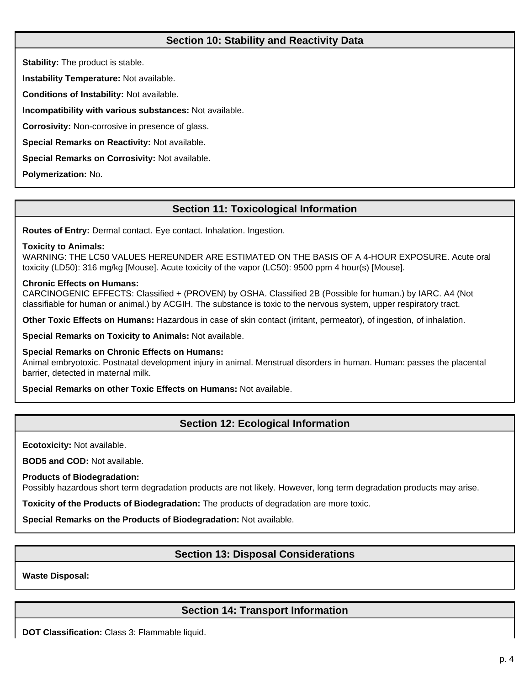# **Section 10: Stability and Reactivity Data**

**Stability:** The product is stable.

**Instability Temperature:** Not available.

**Conditions of Instability:** Not available.

**Incompatibility with various substances:** Not available.

**Corrosivity:** Non-corrosive in presence of glass.

**Special Remarks on Reactivity:** Not available.

**Special Remarks on Corrosivity:** Not available.

**Polymerization:** No.

# **Section 11: Toxicological Information**

**Routes of Entry:** Dermal contact. Eye contact. Inhalation. Ingestion.

#### **Toxicity to Animals:**

WARNING: THE LC50 VALUES HEREUNDER ARE ESTIMATED ON THE BASIS OF A 4-HOUR EXPOSURE. Acute oral toxicity (LD50): 316 mg/kg [Mouse]. Acute toxicity of the vapor (LC50): 9500 ppm 4 hour(s) [Mouse].

#### **Chronic Effects on Humans:**

CARCINOGENIC EFFECTS: Classified + (PROVEN) by OSHA. Classified 2B (Possible for human.) by IARC. A4 (Not classifiable for human or animal.) by ACGIH. The substance is toxic to the nervous system, upper respiratory tract.

**Other Toxic Effects on Humans:** Hazardous in case of skin contact (irritant, permeator), of ingestion, of inhalation.

**Special Remarks on Toxicity to Animals:** Not available.

#### **Special Remarks on Chronic Effects on Humans:**

Animal embryotoxic. Postnatal development injury in animal. Menstrual disorders in human. Human: passes the placental barrier, detected in maternal milk.

**Special Remarks on other Toxic Effects on Humans:** Not available.

# **Section 12: Ecological Information**

**Ecotoxicity:** Not available.

**BOD5 and COD:** Not available.

**Products of Biodegradation:**

Possibly hazardous short term degradation products are not likely. However, long term degradation products may arise.

**Toxicity of the Products of Biodegradation:** The products of degradation are more toxic.

**Special Remarks on the Products of Biodegradation:** Not available.

# **Section 13: Disposal Considerations**

**Waste Disposal:**

# **Section 14: Transport Information**

**DOT Classification:** Class 3: Flammable liquid.